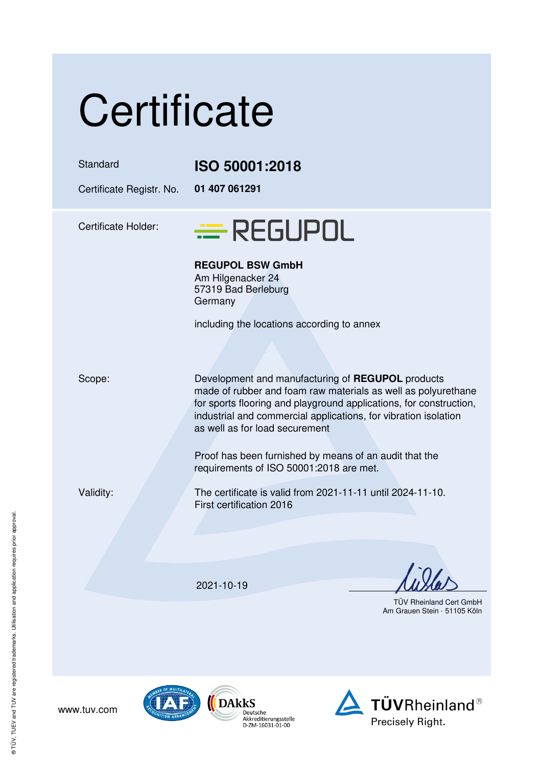| Certificate                          |                                                                                                                                                                                                                                                                                               |
|--------------------------------------|-----------------------------------------------------------------------------------------------------------------------------------------------------------------------------------------------------------------------------------------------------------------------------------------------|
| Standard<br>Certificate Registr. No. | ISO 50001:2018<br>01 407 061291                                                                                                                                                                                                                                                               |
| <b>Certificate Holder:</b>           | <b>E</b> REGUPOL                                                                                                                                                                                                                                                                              |
|                                      | <b>REGUPOL BSW GmbH</b><br>Am Hilgenacker 24<br>57319 Bad Berleburg<br>Germany                                                                                                                                                                                                                |
|                                      | including the locations according to annex                                                                                                                                                                                                                                                    |
| Scope:                               | Development and manufacturing of REGUPOL products<br>made of rubber and foam raw materials as well as polyurethane<br>for sports flooring and playground applications, for construction,<br>industrial and commercial applications, for vibration isolation<br>as well as for load securement |
|                                      | Proof has been furnished by means of an audit that the<br>requirements of ISO 50001:2018 are met.                                                                                                                                                                                             |
| Validity:                            | The certificate is valid from 2021-11-11 until 2024-11-10.<br>First certification 2016                                                                                                                                                                                                        |
|                                      |                                                                                                                                                                                                                                                                                               |
|                                      | 2021-10-19                                                                                                                                                                                                                                                                                    |
|                                      | TÜV Rheinland Cert Gmb                                                                                                                                                                                                                                                                        |

/ Rheinland Cert GmbH Am Grauen Stein · 51105 Köln







www.tuv.com